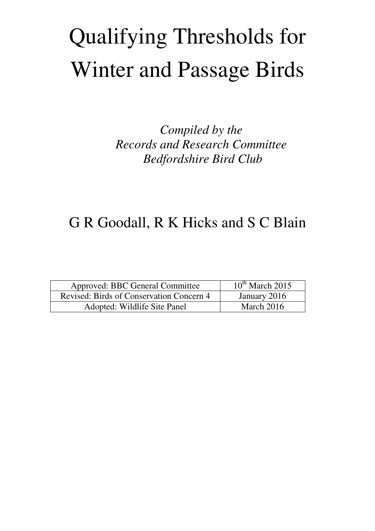# Qualifying Thresholds for Winter and Passage Birds

*Compiled by the Records and Research Committee Bedfordshire Bird Club* 

## G R Goodall, R K Hicks and S C Blain

| Approved: BBC General Committee          | $10^{th}$ March 2015 |
|------------------------------------------|----------------------|
| Revised: Birds of Conservation Concern 4 | January 2016         |
| Adopted: Wildlife Site Panel             | March $2016$         |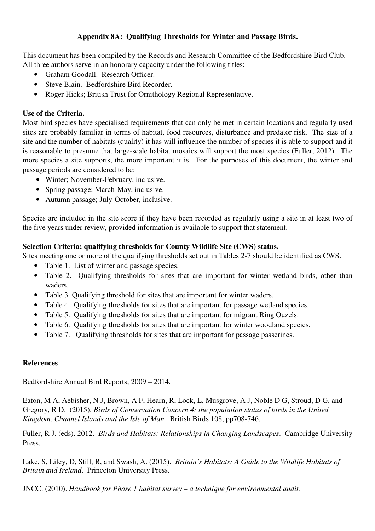#### **Appendix 8A: Qualifying Thresholds for Winter and Passage Birds.**

This document has been compiled by the Records and Research Committee of the Bedfordshire Bird Club. All three authors serve in an honorary capacity under the following titles:

- Graham Goodall. Research Officer.
- Steve Blain. Bedfordshire Bird Recorder.
- Roger Hicks; British Trust for Ornithology Regional Representative.

#### **Use of the Criteria.**

Most bird species have specialised requirements that can only be met in certain locations and regularly used sites are probably familiar in terms of habitat, food resources, disturbance and predator risk. The size of a site and the number of habitats (quality) it has will influence the number of species it is able to support and it is reasonable to presume that large-scale habitat mosaics will support the most species (Fuller, 2012). The more species a site supports, the more important it is. For the purposes of this document, the winter and passage periods are considered to be:

- Winter; November-February, inclusive.
- Spring passage; March-May, inclusive.
- Autumn passage; July-October, inclusive.

Species are included in the site score if they have been recorded as regularly using a site in at least two of the five years under review, provided information is available to support that statement.

#### **Selection Criteria; qualifying thresholds for County Wildlife Site (CWS) status.**

Sites meeting one or more of the qualifying thresholds set out in Tables 2-7 should be identified as CWS.

- Table 1. List of winter and passage species.
- Table 2. Qualifying thresholds for sites that are important for winter wetland birds, other than waders.
- Table 3. Qualifying threshold for sites that are important for winter waders.
- Table 4. Qualifying thresholds for sites that are important for passage wetland species.
- Table 5. Qualifying thresholds for sites that are important for migrant Ring Ouzels.
- Table 6. Qualifying thresholds for sites that are important for winter woodland species.
- Table 7. Qualifying thresholds for sites that are important for passage passerines.

### **References**

Bedfordshire Annual Bird Reports; 2009 – 2014.

Eaton, M A, Aebisher, N J, Brown, A F, Hearn, R, Lock, L, Musgrove, A J, Noble D G, Stroud, D G, and Gregory, R D. (2015). *Birds of Conservation Concern 4: the population status of birds in the United Kingdom, Channel Islands and the Isle of Man.* British Birds 108, pp708-746.

Fuller, R J. (eds). 2012. *Birds and Habitats: Relationships in Changing Landscapes*. Cambridge University Press.

Lake, S, Liley, D, Still, R, and Swash, A. (2015). *Britain's Habitats: A Guide to the Wildlife Habitats of Britain and Ireland*. Princeton University Press.

JNCC. (2010). *Handbook for Phase 1 habitat survey – a technique for environmental audit.*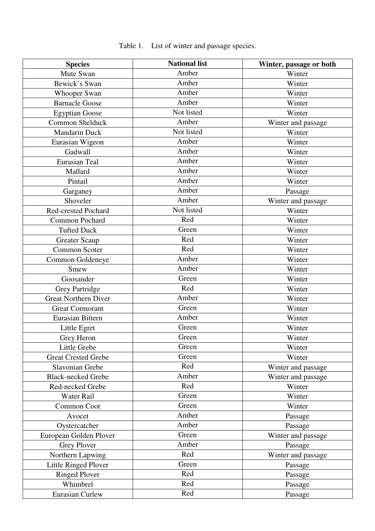| <b>Species</b>              | <b>National list</b> | Winter, passage or both |
|-----------------------------|----------------------|-------------------------|
| Mute Swan                   | Amber                | Winter                  |
| Bewick's Swan               | Amber                | Winter                  |
| <b>Whooper Swan</b>         | Amber                | Winter                  |
| <b>Barnacle Goose</b>       | Amber                | Winter                  |
| <b>Egyptian Goose</b>       | Not listed           | Winter                  |
| Common Shelduck             | Amber                | Winter and passage      |
| <b>Mandarin Duck</b>        | Not listed           | Winter                  |
| Eurasian Wigeon             | Amber                | Winter                  |
| Gadwall                     | Amber                | Winter                  |
| <b>Eurasian Teal</b>        | Amber                | Winter                  |
| Mallard                     | Amber                | Winter                  |
| Pintail                     | Amber                | Winter                  |
| Garganey                    | Amber                | Passage                 |
| Shoveler                    | Amber                | Winter and passage      |
| Red-crested Pochard         | Not listed           | Winter                  |
| <b>Common Pochard</b>       | Red                  | Winter                  |
| <b>Tufted Duck</b>          | Green                | Winter                  |
| <b>Greater Scaup</b>        | Red                  | Winter                  |
| Common Scoter               | Red                  | Winter                  |
| Common Goldeneye            | Amber                | Winter                  |
| Smew                        | Amber                | Winter                  |
| Goosander                   | Green                | Winter                  |
| <b>Grey Partridge</b>       | Red                  | Winter                  |
| <b>Great Northern Diver</b> | Amber                | Winter                  |
| <b>Great Cormorant</b>      | Green                | Winter                  |
| Eurasian Bittern            | Amber                | Winter                  |
| Little Egret                | Green                | Winter                  |
| Grey Heron                  | Green                | Winter                  |
| Little Grebe                | Green                | Winter                  |
| <b>Great Crested Grebe</b>  | Green                | Winter                  |
| Slavonian Grebe             | Red                  | Winter and passage      |
| <b>Black-necked Grebe</b>   | Amber                | Winter and passage      |
| Red-necked Grebe            | Red                  | Winter                  |
| Water Rail                  | Green                | Winter                  |
| Common Coot                 | Green                | Winter                  |
| Avocet                      | Amber                | Passage                 |
| Oystercatcher               | Amber                | Passage                 |
| European Golden Plover      | Green                | Winter and passage      |
| <b>Grey Plover</b>          | Amber                | Passage                 |
| Northern Lapwing            | Red                  | Winter and passage      |
| <b>Little Ringed Plover</b> | Green                | Passage                 |
| <b>Ringed Plover</b>        | Red                  | Passage                 |
| Whimbrel                    | Red                  | Passage                 |
| <b>Eurasian Curlew</b>      | Red                  | Passage                 |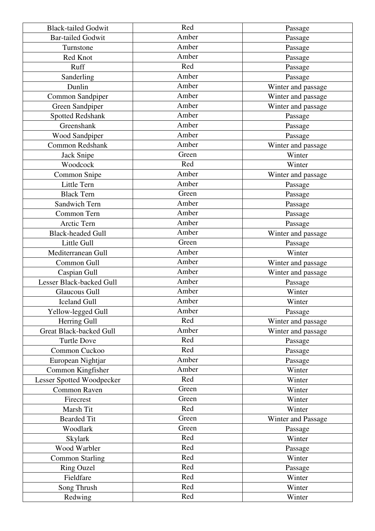| <b>Black-tailed Godwit</b>      | Red   | Passage            |
|---------------------------------|-------|--------------------|
| <b>Bar-tailed Godwit</b>        | Amber | Passage            |
| Turnstone                       | Amber | Passage            |
| Red Knot                        | Amber | Passage            |
| Ruff                            | Red   | Passage            |
| Sanderling                      | Amber | Passage            |
| Dunlin                          | Amber | Winter and passage |
| Common Sandpiper                | Amber | Winter and passage |
| Green Sandpiper                 | Amber | Winter and passage |
| <b>Spotted Redshank</b>         | Amber | Passage            |
| Greenshank                      | Amber | Passage            |
| Wood Sandpiper                  | Amber | Passage            |
| <b>Common Redshank</b>          | Amber | Winter and passage |
| Jack Snipe                      | Green | Winter             |
| Woodcock                        | Red   | Winter             |
| Common Snipe                    | Amber | Winter and passage |
| Little Tern                     | Amber | Passage            |
| <b>Black Tern</b>               | Green | Passage            |
| Sandwich Tern                   | Amber | Passage            |
| Common Tern                     | Amber | Passage            |
| Arctic Tern                     | Amber | Passage            |
| <b>Black-headed Gull</b>        | Amber | Winter and passage |
| Little Gull                     | Green | Passage            |
| Mediterranean Gull              | Amber | Winter             |
| Common Gull                     | Amber | Winter and passage |
| Caspian Gull                    | Amber | Winter and passage |
| <b>Lesser Black-backed Gull</b> | Amber | Passage            |
| <b>Glaucous Gull</b>            | Amber | Winter             |
| <b>Iceland Gull</b>             | Amber | Winter             |
| Yellow-legged Gull              | Amber | Passage            |
| Herring Gull                    | Red   | Winter and passage |
| <b>Great Black-backed Gull</b>  | Amber | Winter and passage |
| <b>Turtle Dove</b>              | Red   | Passage            |
| Common Cuckoo                   | Red   | Passage            |
| European Nightjar               | Amber | Passage            |
| Common Kingfisher               | Amber | Winter             |
| Lesser Spotted Woodpecker       | Red   | Winter             |
| Common Raven                    | Green | Winter             |
| Firecrest                       | Green | Winter             |
| Marsh Tit                       | Red   | Winter             |
| <b>Bearded Tit</b>              | Green | Winter and Passage |
| Woodlark                        | Green | Passage            |
| Skylark                         | Red   | Winter             |
| Wood Warbler                    | Red   | Passage            |
| <b>Common Starling</b>          | Red   | Winter             |
| <b>Ring Ouzel</b>               | Red   | Passage            |
| Fieldfare                       | Red   | Winter             |
| Song Thrush                     | Red   | Winter             |
| Redwing                         | Red   | Winter             |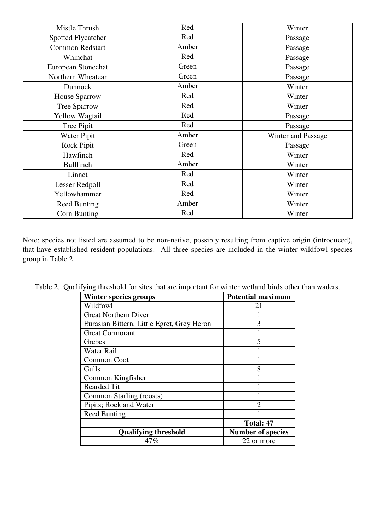| Mistle Thrush          | Red   | Winter             |
|------------------------|-------|--------------------|
| Spotted Flycatcher     | Red   | Passage            |
| <b>Common Redstart</b> | Amber | Passage            |
| Whinchat               | Red   | Passage            |
| European Stonechat     | Green | Passage            |
| Northern Wheatear      | Green | Passage            |
| Dunnock                | Amber | Winter             |
| <b>House Sparrow</b>   | Red   | Winter             |
| <b>Tree Sparrow</b>    | Red   | Winter             |
| <b>Yellow Wagtail</b>  | Red   | Passage            |
| Tree Pipit             | Red   | Passage            |
| Water Pipit            | Amber | Winter and Passage |
| Rock Pipit             | Green | Passage            |
| Hawfinch               | Red   | Winter             |
| <b>Bullfinch</b>       | Amber | Winter             |
| Linnet                 | Red   | Winter             |
| Lesser Redpoll         | Red   | Winter             |
| Yellowhammer           | Red   | Winter             |
| <b>Reed Bunting</b>    | Amber | Winter             |
| Corn Bunting           | Red   | Winter             |

Note: species not listed are assumed to be non-native, possibly resulting from captive origin (introduced), that have established resident populations. All three species are included in the winter wildfowl species group in Table 2.

| <b>Winter species groups</b>               | <b>Potential maximum</b>    |
|--------------------------------------------|-----------------------------|
| Wildfowl                                   | 21                          |
| <b>Great Northern Diver</b>                |                             |
| Eurasian Bittern, Little Egret, Grey Heron | 3                           |
| <b>Great Cormorant</b>                     |                             |
| Grebes                                     | 5                           |
| Water Rail                                 |                             |
| Common Coot                                |                             |
| Gulls                                      | 8                           |
| Common Kingfisher                          |                             |
| <b>Bearded Tit</b>                         |                             |
| Common Starling (roosts)                   |                             |
| Pipits; Rock and Water                     | $\mathcal{D}_{\mathcal{A}}$ |
| <b>Reed Bunting</b>                        |                             |
|                                            | Total: 47                   |
| <b>Qualifying threshold</b>                | <b>Number of species</b>    |
| 47%                                        | 22 or more                  |

Table 2. Qualifying threshold for sites that are important for winter wetland birds other than waders.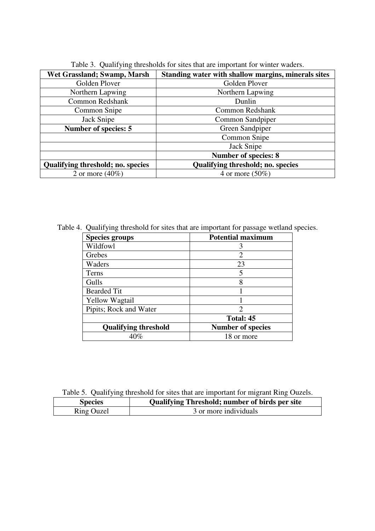| Wet Grassland; Swamp, Marsh              | Standing water with shallow margins, minerals sites |  |
|------------------------------------------|-----------------------------------------------------|--|
| Golden Plover                            | Golden Plover                                       |  |
| Northern Lapwing                         | Northern Lapwing                                    |  |
| Common Redshank                          | Dunlin                                              |  |
| Common Snipe                             | Common Redshank                                     |  |
| Jack Snipe                               | Common Sandpiper                                    |  |
| Number of species: 5                     | Green Sandpiper                                     |  |
|                                          | Common Snipe                                        |  |
|                                          | Jack Snipe                                          |  |
|                                          | <b>Number of species: 8</b>                         |  |
| <b>Qualifying threshold; no. species</b> | <b>Qualifying threshold; no. species</b>            |  |
| 2 or more $(40\%)$                       | 4 or more $(50\%)$                                  |  |

Table 3. Qualifying thresholds for sites that are important for winter waders.

Table 4. Qualifying threshold for sites that are important for passage wetland species.

| <b>Species groups</b>       | <b>Potential maximum</b>    |
|-----------------------------|-----------------------------|
| Wildfowl                    | 3                           |
| Grebes                      | $\overline{2}$              |
| Waders                      | 23                          |
| Terns                       | 5                           |
| Gulls                       | 8                           |
| <b>Bearded Tit</b>          |                             |
| <b>Yellow Wagtail</b>       |                             |
| Pipits; Rock and Water      | $\mathcal{D}_{\mathcal{A}}$ |
|                             | Total: 45                   |
| <b>Qualifying threshold</b> | <b>Number of species</b>    |
| 40%                         | 18 or more                  |

Table 5. Qualifying threshold for sites that are important for migrant Ring Ouzels.

| <b>Species</b>    | <b>Qualifying Threshold; number of birds per site</b> |
|-------------------|-------------------------------------------------------|
| <b>Ring Ouzel</b> | 3 or more individuals                                 |